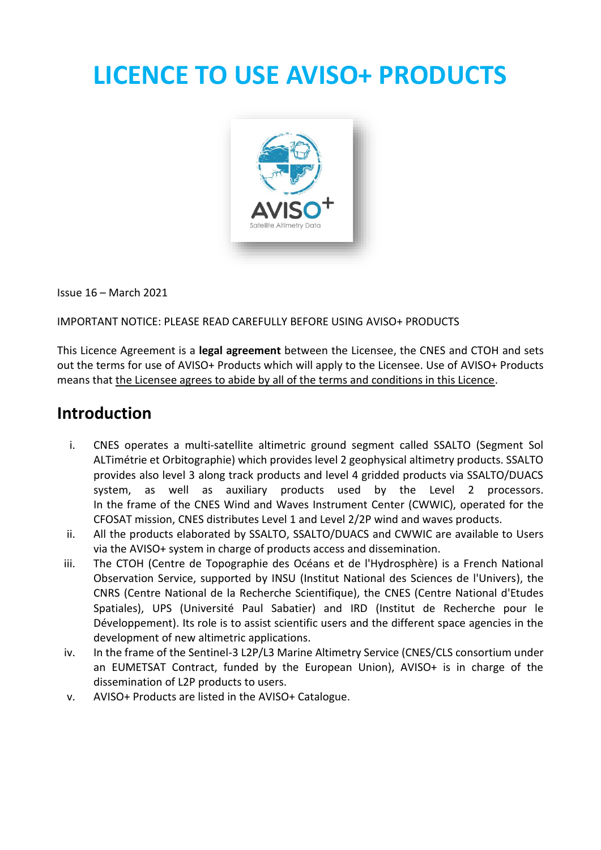# **LICENCE TO USE AVISO+ PRODUCTS**



Issue 16 – March 2021

IMPORTANT NOTICE: PLEASE READ CAREFULLY BEFORE USING AVISO+ PRODUCTS

This Licence Agreement is a **legal agreement** between the Licensee, the CNES and CTOH and sets out the terms for use of AVISO+ Products which will apply to the Licensee. Use of AVISO+ Products means that the Licensee agrees to abide by all of the terms and conditions in this Licence.

#### **Introduction**

- i. CNES operates a multi-satellite altimetric ground segment called SSALTO (Segment Sol ALTimétrie et Orbitographie) which provides level 2 geophysical altimetry products. SSALTO provides also level 3 along track products and level 4 gridded products via SSALTO/DUACS system, as well as auxiliary products used by the Level 2 processors. In the frame of the CNES Wind and Waves Instrument Center (CWWIC), operated for the CFOSAT mission, CNES distributes Level 1 and Level 2/2P wind and waves products.
- ii. All the products elaborated by SSALTO, SSALTO/DUACS and CWWIC are available to Users via the AVISO+ system in charge of products access and dissemination.
- iii. The CTOH (Centre de Topographie des Océans et de l'Hydrosphère) is a French National Observation Service, supported by INSU (Institut National des Sciences de l'Univers), the CNRS (Centre National de la Recherche Scientifique), the CNES (Centre National d'Etudes Spatiales), UPS (Université Paul Sabatier) and IRD (Institut de Recherche pour le Développement). Its role is to assist scientific users and the different space agencies in the development of new altimetric applications.
- iv. In the frame of the Sentinel-3 L2P/L3 Marine Altimetry Service (CNES/CLS consortium under an EUMETSAT Contract, funded by the European Union), AVISO+ is in charge of the dissemination of L2P products to users.
- v. AVISO+ Products are listed in the AVISO+ Catalogue.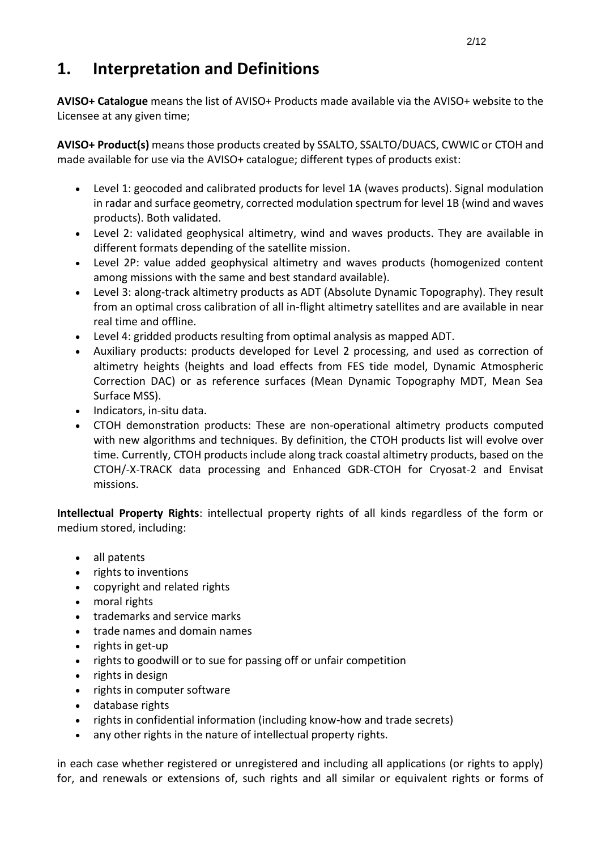# **1. Interpretation and Definitions**

**AVISO+ Catalogue** means the list of AVISO+ Products made available via the AVISO+ website to the Licensee at any given time;

**AVISO+ Product(s)** means those products created by SSALTO, SSALTO/DUACS, CWWIC or CTOH and made available for use via the AVISO+ catalogue; different types of products exist:

- Level 1: geocoded and calibrated products for level 1A (waves products). Signal modulation in radar and surface geometry, corrected modulation spectrum for level 1B (wind and waves products). Both validated.
- Level 2: validated geophysical altimetry, wind and waves products. They are available in different formats depending of the satellite mission.
- Level 2P: value added geophysical altimetry and waves products (homogenized content among missions with the same and best standard available).
- Level 3: along-track altimetry products as ADT (Absolute Dynamic Topography). They result from an optimal cross calibration of all in-flight altimetry satellites and are available in near real time and offline.
- Level 4: gridded products resulting from optimal analysis as mapped ADT.
- Auxiliary products: products developed for Level 2 processing, and used as correction of altimetry heights (heights and load effects from FES tide model, Dynamic Atmospheric Correction DAC) or as reference surfaces (Mean Dynamic Topography MDT, Mean Sea Surface MSS).
- Indicators, in-situ data.
- CTOH demonstration products: These are non-operational altimetry products computed with new algorithms and techniques. By definition, the CTOH products list will evolve over time. Currently, CTOH products include along track coastal altimetry products, based on the CTOH/-X-TRACK data processing and Enhanced GDR-CTOH for Cryosat-2 and Envisat missions.

**Intellectual Property Rights**: intellectual property rights of all kinds regardless of the form or medium stored, including:

- all patents
- rights to inventions
- copyright and related rights
- moral rights
- trademarks and service marks
- trade names and domain names
- rights in get-up
- rights to goodwill or to sue for passing off or unfair competition
- rights in design
- rights in computer software
- database rights
- rights in confidential information (including know-how and trade secrets)
- any other rights in the nature of intellectual property rights.

in each case whether registered or unregistered and including all applications (or rights to apply) for, and renewals or extensions of, such rights and all similar or equivalent rights or forms of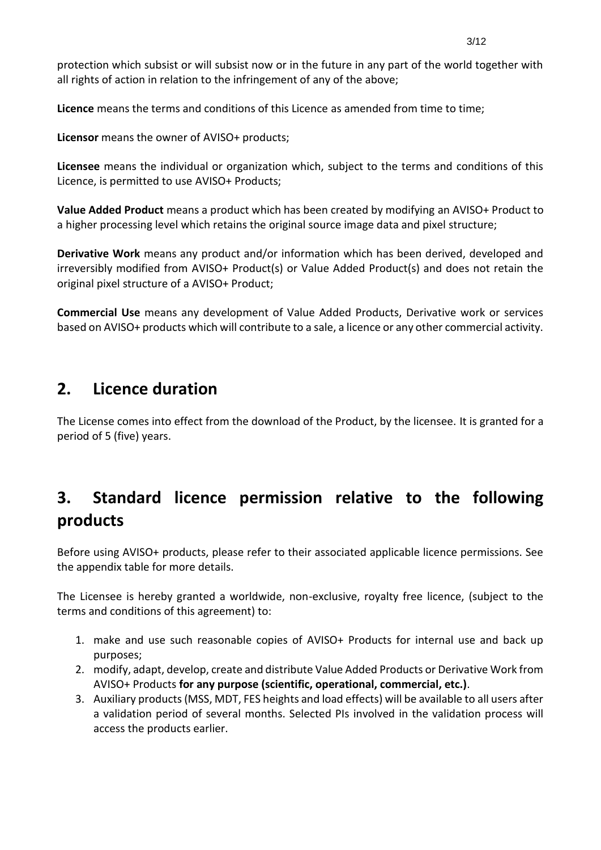protection which subsist or will subsist now or in the future in any part of the world together with all rights of action in relation to the infringement of any of the above;

**Licence** means the terms and conditions of this Licence as amended from time to time;

**Licensor** means the owner of AVISO+ products;

**Licensee** means the individual or organization which, subject to the terms and conditions of this Licence, is permitted to use AVISO+ Products;

**Value Added Product** means a product which has been created by modifying an AVISO+ Product to a higher processing level which retains the original source image data and pixel structure;

**Derivative Work** means any product and/or information which has been derived, developed and irreversibly modified from AVISO+ Product(s) or Value Added Product(s) and does not retain the original pixel structure of a AVISO+ Product;

**Commercial Use** means any development of Value Added Products, Derivative work or services based on AVISO+ products which will contribute to a sale, a licence or any other commercial activity.

#### **2. Licence duration**

The License comes into effect from the download of the Product, by the licensee. It is granted for a period of 5 (five) years.

# **3. Standard licence permission relative to the following products**

Before using AVISO+ products, please refer to their associated applicable licence permissions. See the appendix table for more details.

The Licensee is hereby granted a worldwide, non-exclusive, royalty free licence, (subject to the terms and conditions of this agreement) to:

- 1. make and use such reasonable copies of AVISO+ Products for internal use and back up purposes;
- 2. modify, adapt, develop, create and distribute Value Added Products or Derivative Work from AVISO+ Products **for any purpose (scientific, operational, commercial, etc.)**.
- 3. Auxiliary products (MSS, MDT, FES heights and load effects) will be available to all users after a validation period of several months. Selected PIs involved in the validation process will access the products earlier.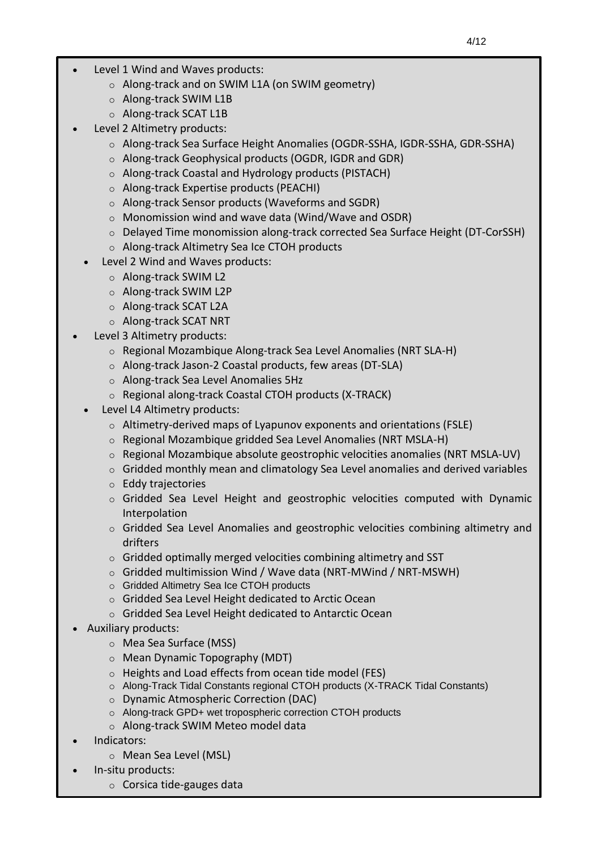- Level 1 Wind and Waves products: The Company of the license license license license license license license
	- o Along-track and on SWIM L1A (on SWIM geometry)
	- o Along-track SWIM L1B
	- o Along-track SCAT L1B
	- Level 2 Altimetry products:
		- o Along-track Sea Surface Height Anomalies (OGDR-SSHA, IGDR-SSHA, GDR-SSHA)
		- o Along-track Geophysical products (OGDR, IGDR and GDR)
		- o Along-track Coastal and Hydrology products (PISTACH)
		- o Along-track Expertise products (PEACHI)
		- o Along-track Sensor products (Waveforms and SGDR)
		- o Monomission wind and wave data (Wind/Wave and OSDR)
		- o Delayed Time monomission along-track corrected Sea Surface Height (DT-CorSSH)
		- o Along-track Altimetry Sea Ice CTOH products
		- Level 2 Wind and Waves products:
			- o Along-track SWIM L2
			- o Along-track SWIM L2P
			- o Along-track SCAT L2A
			- o Along-track SCAT NRT
	- Level 3 Altimetry products:
		- o Regional Mozambique Along-track Sea Level Anomalies (NRT SLA-H)
		- o Along-track Jason-2 Coastal products, few areas (DT-SLA)
		- o Along-track Sea Level Anomalies 5Hz
		- o Regional along-track Coastal CTOH products (X-TRACK)
		- Level L4 Altimetry products:
			- o Altimetry-derived maps of Lyapunov exponents and orientations (FSLE)
			- o Regional Mozambique gridded Sea Level Anomalies (NRT MSLA-H)
			- $\circ$  Regional Mozambique absolute geostrophic velocities anomalies (NRT MSLA-UV)
			- o Gridded monthly mean and climatology Sea Level anomalies and derived variables
			- o Eddy trajectories
			- $\circ$  Gridded Sea Level Height and geostrophic velocities computed with Dynamic Interpolation
			- o Gridded Sea Level Anomalies and geostrophic velocities combining altimetry and drifters
			- o Gridded optimally merged velocities combining altimetry and SST
			- o Gridded multimission Wind / Wave data (NRT-MWind / NRT-MSWH)
			- o Gridded Altimetry Sea Ice CTOH products
			- o Gridded Sea Level Height dedicated to Arctic Ocean
			- o Gridded Sea Level Height dedicated to Antarctic Ocean
	- Auxiliary products:
		- o Mea Sea Surface (MSS)
		- o Mean Dynamic Topography (MDT)
		- o Heights and Load effects from ocean tide model (FES)
		- o Along-Track Tidal Constants regional CTOH products (X-TRACK Tidal Constants)
		- o Dynamic Atmospheric Correction (DAC)
		- o Along-track GPD+ wet tropospheric correction CTOH products
		- o Along-track SWIM Meteo model data
	- Indicators:
		- o Mean Sea Level (MSL)
		- In-situ products:
			- o Corsica tide-gauges data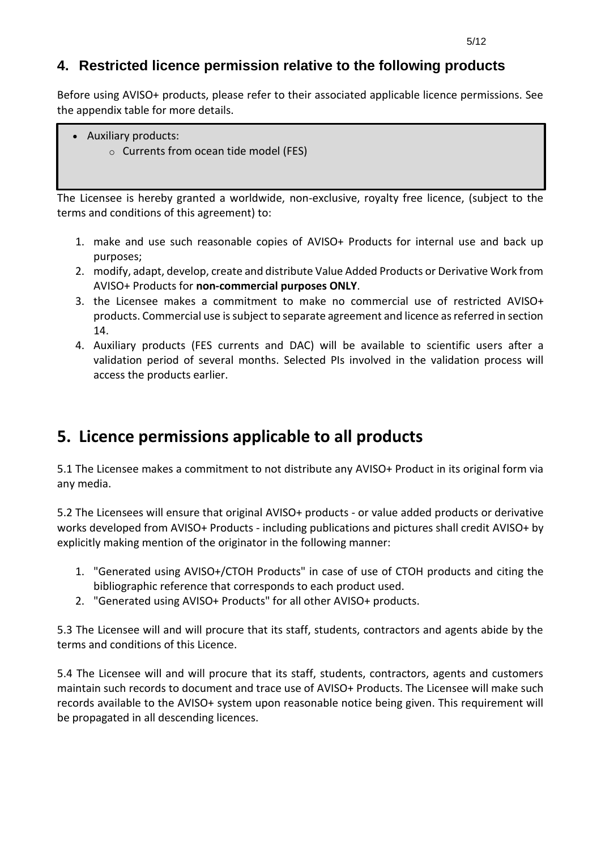#### **4. Restricted licence permission relative to the following products**

Before using AVISO+ products, please refer to their associated applicable licence permissions. See the appendix table for more details.

- Auxiliary products:
	- o Currents from ocean tide model (FES)

The Licensee is hereby granted a worldwide, non-exclusive, royalty free licence, (subject to the terms and conditions of this agreement) to:

- 1. make and use such reasonable copies of AVISO+ Products for internal use and back up purposes;
- 2. modify, adapt, develop, create and distribute Value Added Products or Derivative Work from AVISO+ Products for **non-commercial purposes ONLY**.
- 3. the Licensee makes a commitment to make no commercial use of restricted AVISO+ products. Commercial use issubject to separate agreement and licence as referred in section 14.
- 4. Auxiliary products (FES currents and DAC) will be available to scientific users after a validation period of several months. Selected PIs involved in the validation process will access the products earlier.

# **5. Licence permissions applicable to all products**

5.1 The Licensee makes a commitment to not distribute any AVISO+ Product in its original form via any media.

5.2 The Licensees will ensure that original AVISO+ products - or value added products or derivative works developed from AVISO+ Products - including publications and pictures shall credit AVISO+ by explicitly making mention of the originator in the following manner:

- 1. "Generated using AVISO+/CTOH Products" in case of use of CTOH products and citing the bibliographic reference that corresponds to each product used.
- 2. "Generated using AVISO+ Products" for all other AVISO+ products.

5.3 The Licensee will and will procure that its staff, students, contractors and agents abide by the terms and conditions of this Licence.

5.4 The Licensee will and will procure that its staff, students, contractors, agents and customers maintain such records to document and trace use of AVISO+ Products. The Licensee will make such records available to the AVISO+ system upon reasonable notice being given. This requirement will be propagated in all descending licences.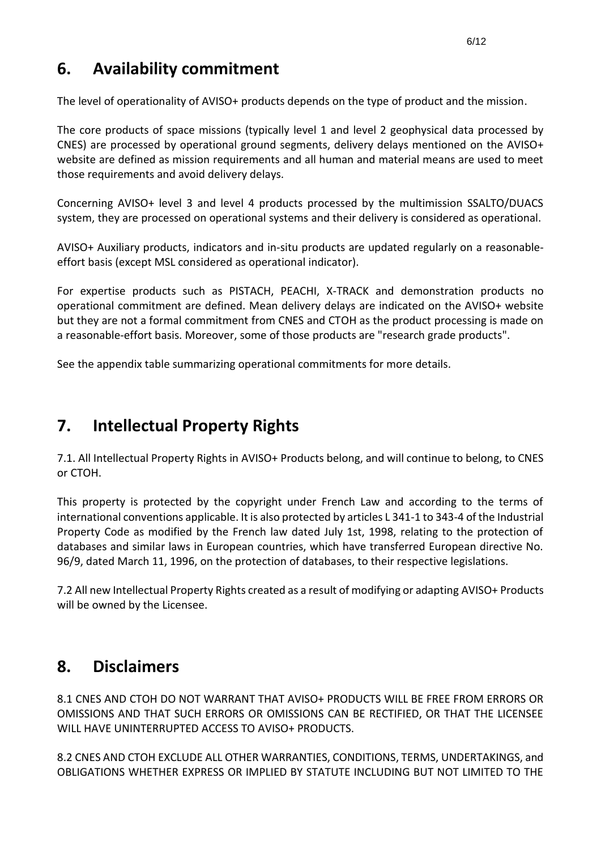### **6. Availability commitment**

The level of operationality of AVISO+ products depends on the type of product and the mission.

The core products of space missions (typically level 1 and level 2 geophysical data processed by CNES) are processed by operational ground segments, delivery delays mentioned on the AVISO+ website are defined as mission requirements and all human and material means are used to meet those requirements and avoid delivery delays.

Concerning AVISO+ level 3 and level 4 products processed by the multimission SSALTO/DUACS system, they are processed on operational systems and their delivery is considered as operational.

AVISO+ Auxiliary products, indicators and in-situ products are updated regularly on a reasonableeffort basis (except MSL considered as operational indicator).

For expertise products such as PISTACH, PEACHI, X-TRACK and demonstration products no operational commitment are defined. Mean delivery delays are indicated on the AVISO+ website but they are not a formal commitment from CNES and CTOH as the product processing is made on a reasonable-effort basis. Moreover, some of those products are "research grade products".

See the appendix table summarizing operational commitments for more details.

# **7. Intellectual Property Rights**

7.1. All Intellectual Property Rights in AVISO+ Products belong, and will continue to belong, to CNES or CTOH.

This property is protected by the copyright under French Law and according to the terms of international conventions applicable. It is also protected by articles L 341-1 to 343-4 of the Industrial Property Code as modified by the French law dated July 1st, 1998, relating to the protection of databases and similar laws in European countries, which have transferred European directive No. 96/9, dated March 11, 1996, on the protection of databases, to their respective legislations.

7.2 All new Intellectual Property Rights created as a result of modifying or adapting AVISO+ Products will be owned by the Licensee.

#### **8. Disclaimers**

8.1 CNES AND CTOH DO NOT WARRANT THAT AVISO+ PRODUCTS WILL BE FREE FROM ERRORS OR OMISSIONS AND THAT SUCH ERRORS OR OMISSIONS CAN BE RECTIFIED, OR THAT THE LICENSEE WILL HAVE UNINTERRUPTED ACCESS TO AVISO+ PRODUCTS.

8.2 CNES AND CTOH EXCLUDE ALL OTHER WARRANTIES, CONDITIONS, TERMS, UNDERTAKINGS, and OBLIGATIONS WHETHER EXPRESS OR IMPLIED BY STATUTE INCLUDING BUT NOT LIMITED TO THE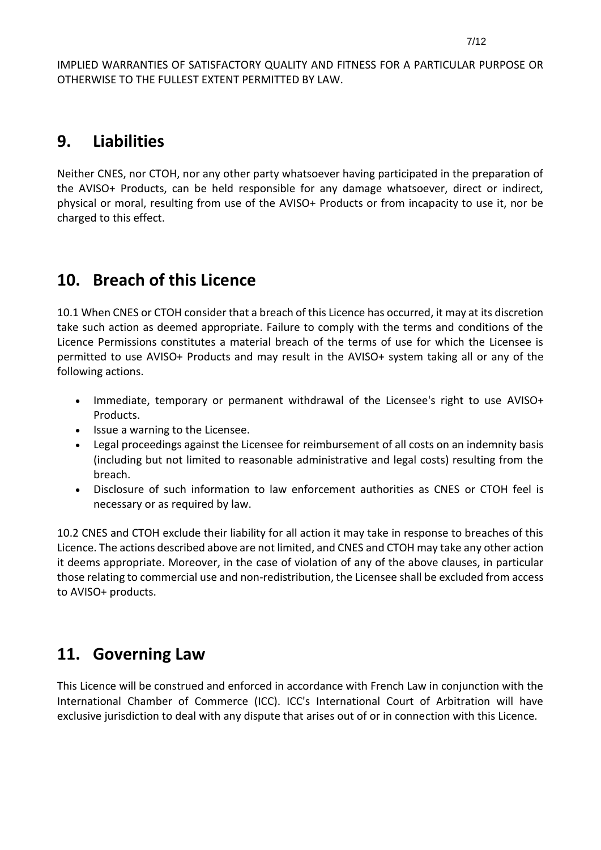IMPLIED WARRANTIES OF SATISFACTORY QUALITY AND FITNESS FOR A PARTICULAR PURPOSE OR OTHERWISE TO THE FULLEST EXTENT PERMITTED BY LAW.

#### **9. Liabilities**

Neither CNES, nor CTOH, nor any other party whatsoever having participated in the preparation of the AVISO+ Products, can be held responsible for any damage whatsoever, direct or indirect, physical or moral, resulting from use of the AVISO+ Products or from incapacity to use it, nor be charged to this effect.

## **10. Breach of this Licence**

10.1 When CNES or CTOH consider that a breach of this Licence has occurred, it may at its discretion take such action as deemed appropriate. Failure to comply with the terms and conditions of the Licence Permissions constitutes a material breach of the terms of use for which the Licensee is permitted to use AVISO+ Products and may result in the AVISO+ system taking all or any of the following actions.

- Immediate, temporary or permanent withdrawal of the Licensee's right to use AVISO+ Products.
- Issue a warning to the Licensee.
- Legal proceedings against the Licensee for reimbursement of all costs on an indemnity basis (including but not limited to reasonable administrative and legal costs) resulting from the breach.
- Disclosure of such information to law enforcement authorities as CNES or CTOH feel is necessary or as required by law.

10.2 CNES and CTOH exclude their liability for all action it may take in response to breaches of this Licence. The actions described above are not limited, and CNES and CTOH may take any other action it deems appropriate. Moreover, in the case of violation of any of the above clauses, in particular those relating to commercial use and non-redistribution, the Licensee shall be excluded from access to AVISO+ products.

#### **11. Governing Law**

This Licence will be construed and enforced in accordance with French Law in conjunction with the International Chamber of Commerce (ICC). ICC's International Court of Arbitration will have exclusive jurisdiction to deal with any dispute that arises out of or in connection with this Licence.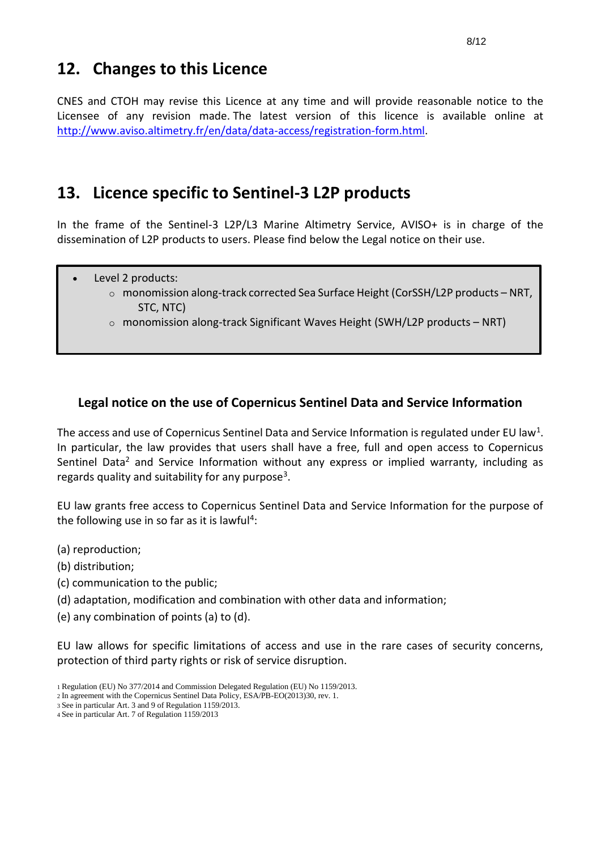#### **12. Changes to this Licence**

CNES and CTOH may revise this Licence at any time and will provide reasonable notice to the Licensee of any revision made. The latest version of this licence is available online at [http://www.aviso.altimetry.fr/en/data/data-access/registration-form.html.](http://www.aviso.altimetry.fr/en/data/data-access/registration-form.html)

#### **13. Licence specific to Sentinel-3 L2P products**

In the frame of the Sentinel-3 L2P/L3 Marine Altimetry Service, AVISO+ is in charge of the dissemination of L2P products to users. Please find below the Legal notice on their use.

- Level 2 products:
	- o monomission along-track corrected Sea Surface Height (CorSSH/L2P products NRT, STC, NTC)
	- $\circ$  monomission along-track Significant Waves Height (SWH/L2P products NRT)

# **Legal notice on the use of Copernicus Sentinel Data and Service Information** •

The access and use of Copernicus Sentinel Data and Service Information is regulated under EU law<sup>1</sup>. In particular, the law provides that users shall have a free, full and open access to Copernicus Sentinel Data<sup>2</sup> and Service Information without any express or implied warranty, including as regards quality and suitability for any purpose<sup>3</sup>.

EU law grants free access to Copernicus Sentinel Data and Service Information for the purpose of the following use in so far as it is lawful<sup>4</sup>:

- (a) reproduction;
- (b) distribution;
- (c) communication to the public;
- (d) adaptation, modification and combination with other data and information;
- (e) any combination of points (a) to (d).

EU law allows for specific limitations of access and use in the rare cases of security concerns, protection of third party rights or risk of service disruption.

<sup>1</sup> Regulation (EU) No 377/2014 and Commission Delegated Regulation (EU) No 1159/2013.

<sup>2</sup> In agreement with the Copernicus Sentinel Data Policy, ESA/PB-EO(2013)30, rev. 1.

<sup>3</sup> See in particular Art. 3 and 9 of Regulation 1159/2013.

<sup>4</sup> See in particular Art. 7 of Regulation 1159/2013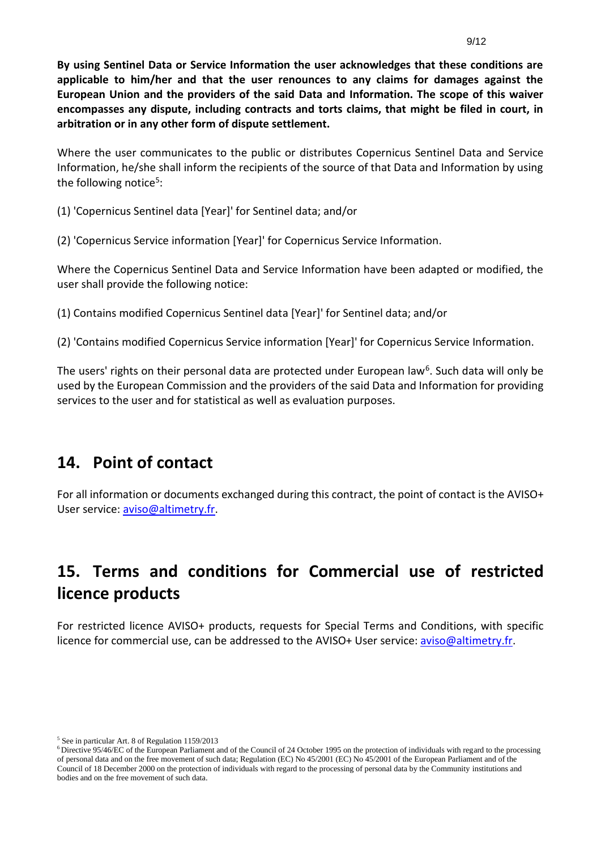**By using Sentinel Data or Service Information the user acknowledges that these conditions are applicable to him/her and that the user renounces to any claims for damages against the European Union and the providers of the said Data and Information. The scope of this waiver encompasses any dispute, including contracts and torts claims, that might be filed in court, in arbitration or in any other form of dispute settlement.**

Where the user communicates to the public or distributes Copernicus Sentinel Data and Service Information, he/she shall inform the recipients of the source of that Data and Information by using the following notice<sup>5</sup>:

(1) 'Copernicus Sentinel data [Year]' for Sentinel data; and/or

(2) 'Copernicus Service information [Year]' for Copernicus Service Information.

Where the Copernicus Sentinel Data and Service Information have been adapted or modified, the user shall provide the following notice:

(1) Contains modified Copernicus Sentinel data [Year]' for Sentinel data; and/or

(2) 'Contains modified Copernicus Service information [Year]' for Copernicus Service Information.

The users' rights on their personal data are protected under European law<sup>6</sup>. Such data will only be used by the European Commission and the providers of the said Data and Information for providing services to the user and for statistical as well as evaluation purposes.

#### **14. Point of contact**

For all information or documents exchanged during this contract, the point of contact is the AVISO+ User service: [aviso@altimetry.fr.](mailto:aviso@altimetry.fr)

# **15. Terms and conditions for Commercial use of restricted licence products**

For restricted licence AVISO+ products, requests for Special Terms and Conditions, with specific licence for commercial use, can be addressed to the AVISO+ User service: [aviso@altimetry.fr.](mailto:aviso@altimetry.fr)

<sup>5</sup> See in particular Art. 8 of Regulation 1159/2013

<sup>&</sup>lt;sup>6</sup>Directive 95/46/EC of the European Parliament and of the Council of 24 October 1995 on the protection of individuals with regard to the processing of personal data and on the free movement of such data; Regulation (EC) No 45/2001 (EC) No 45/2001 of the European Parliament and of the Council of 18 December 2000 on the protection of individuals with regard to the processing of personal data by the Community institutions and bodies and on the free movement of such data.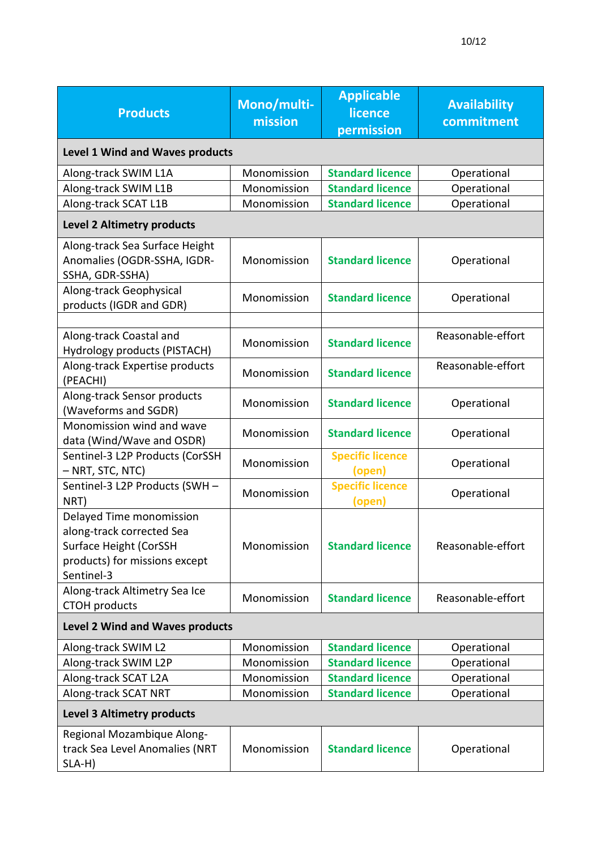| <b>Products</b>                                                                                                                | Mono/multi-<br>mission | <b>Applicable</b><br>licence<br>permission | <b>Availability</b><br>commitment |  |  |
|--------------------------------------------------------------------------------------------------------------------------------|------------------------|--------------------------------------------|-----------------------------------|--|--|
| <b>Level 1 Wind and Waves products</b>                                                                                         |                        |                                            |                                   |  |  |
| Along-track SWIM L1A                                                                                                           | Monomission            | <b>Standard licence</b>                    | Operational                       |  |  |
| Along-track SWIM L1B                                                                                                           | Monomission            | <b>Standard licence</b>                    | Operational                       |  |  |
| Along-track SCAT L1B                                                                                                           | Monomission            | <b>Standard licence</b>                    | Operational                       |  |  |
| <b>Level 2 Altimetry products</b>                                                                                              |                        |                                            |                                   |  |  |
| Along-track Sea Surface Height<br>Anomalies (OGDR-SSHA, IGDR-<br>SSHA, GDR-SSHA)                                               | Monomission            | <b>Standard licence</b>                    | Operational                       |  |  |
| Along-track Geophysical<br>products (IGDR and GDR)                                                                             | Monomission            | <b>Standard licence</b>                    | Operational                       |  |  |
| Along-track Coastal and<br>Hydrology products (PISTACH)                                                                        | Monomission            | <b>Standard licence</b>                    | Reasonable-effort                 |  |  |
| Along-track Expertise products<br>(PEACHI)                                                                                     | Monomission            | <b>Standard licence</b>                    | Reasonable-effort                 |  |  |
| Along-track Sensor products<br>(Waveforms and SGDR)                                                                            | Monomission            | <b>Standard licence</b>                    | Operational                       |  |  |
| Monomission wind and wave<br>data (Wind/Wave and OSDR)                                                                         | Monomission            | <b>Standard licence</b>                    | Operational                       |  |  |
| Sentinel-3 L2P Products (CorSSH<br>– NRT, STC, NTC)                                                                            | Monomission            | <b>Specific licence</b><br>(open)          | Operational                       |  |  |
| Sentinel-3 L2P Products (SWH -<br>NRT)                                                                                         | Monomission            | <b>Specific licence</b><br>(open)          | Operational                       |  |  |
| Delayed Time monomission<br>along-track corrected Sea<br>Surface Height (CorSSH<br>products) for missions except<br>Sentinel-3 | Monomission            | <b>Standard licence</b>                    | Reasonable-effort                 |  |  |
| Along-track Altimetry Sea Ice<br><b>CTOH</b> products                                                                          | Monomission            | <b>Standard licence</b>                    | Reasonable-effort                 |  |  |
| <b>Level 2 Wind and Waves products</b>                                                                                         |                        |                                            |                                   |  |  |
| Along-track SWIM L2                                                                                                            | Monomission            | <b>Standard licence</b>                    | Operational                       |  |  |
| Along-track SWIM L2P                                                                                                           | Monomission            | <b>Standard licence</b>                    | Operational                       |  |  |
| Along-track SCAT L2A                                                                                                           | Monomission            | <b>Standard licence</b>                    | Operational                       |  |  |
| Along-track SCAT NRT                                                                                                           | Monomission            | <b>Standard licence</b>                    | Operational                       |  |  |
| <b>Level 3 Altimetry products</b>                                                                                              |                        |                                            |                                   |  |  |
| Regional Mozambique Along-<br>track Sea Level Anomalies (NRT<br>SLA-H)                                                         | Monomission            | <b>Standard licence</b>                    | Operational                       |  |  |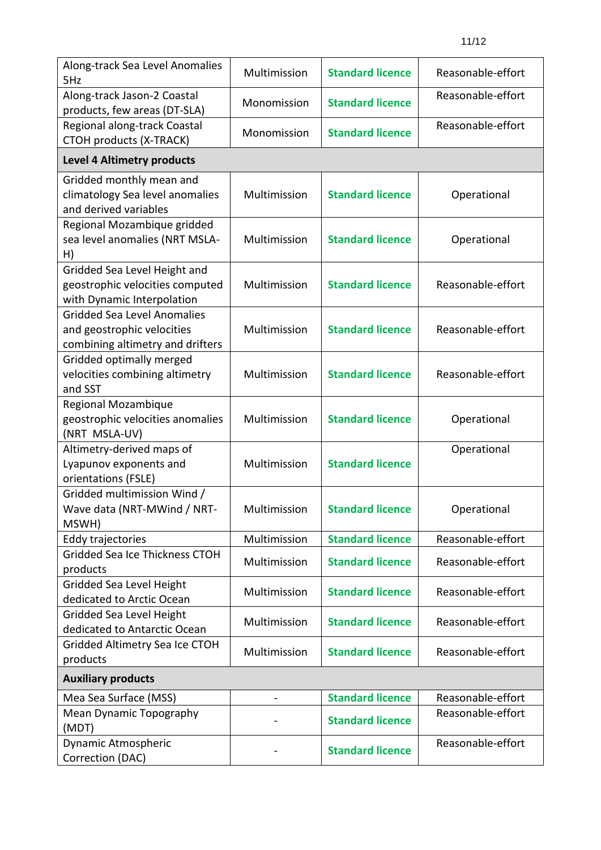| Along-track Sea Level Anomalies<br>5Hz                                                               | Multimission | <b>Standard licence</b> | Reasonable-effort |  |  |
|------------------------------------------------------------------------------------------------------|--------------|-------------------------|-------------------|--|--|
| Along-track Jason-2 Coastal<br>products, few areas (DT-SLA)                                          | Monomission  | <b>Standard licence</b> | Reasonable-effort |  |  |
| Regional along-track Coastal<br>CTOH products (X-TRACK)                                              | Monomission  | <b>Standard licence</b> | Reasonable-effort |  |  |
| Level 4 Altimetry products                                                                           |              |                         |                   |  |  |
| Gridded monthly mean and<br>climatology Sea level anomalies<br>and derived variables                 | Multimission | <b>Standard licence</b> | Operational       |  |  |
| Regional Mozambique gridded<br>sea level anomalies (NRT MSLA-<br>H)                                  | Multimission | <b>Standard licence</b> | Operational       |  |  |
| Gridded Sea Level Height and<br>geostrophic velocities computed<br>with Dynamic Interpolation        | Multimission | <b>Standard licence</b> | Reasonable-effort |  |  |
| <b>Gridded Sea Level Anomalies</b><br>and geostrophic velocities<br>combining altimetry and drifters | Multimission | <b>Standard licence</b> | Reasonable-effort |  |  |
| Gridded optimally merged<br>velocities combining altimetry<br>and SST                                | Multimission | <b>Standard licence</b> | Reasonable-effort |  |  |
| <b>Regional Mozambique</b><br>geostrophic velocities anomalies<br>(NRT MSLA-UV)                      | Multimission | <b>Standard licence</b> | Operational       |  |  |
| Altimetry-derived maps of<br>Lyapunov exponents and<br>orientations (FSLE)                           | Multimission | <b>Standard licence</b> | Operational       |  |  |
| Gridded multimission Wind /<br>Wave data (NRT-MWind / NRT-<br>MSWH)                                  | Multimission | <b>Standard licence</b> | Operational       |  |  |
| Eddy trajectories                                                                                    | Multimission | <b>Standard licence</b> | Reasonable-effort |  |  |
| Gridded Sea Ice Thickness CTOH<br>products                                                           | Multimission | <b>Standard licence</b> | Reasonable-effort |  |  |
| Gridded Sea Level Height<br>dedicated to Arctic Ocean                                                | Multimission | <b>Standard licence</b> | Reasonable-effort |  |  |
| Gridded Sea Level Height<br>dedicated to Antarctic Ocean                                             | Multimission | <b>Standard licence</b> | Reasonable-effort |  |  |
| Gridded Altimetry Sea Ice CTOH<br>products                                                           | Multimission | <b>Standard licence</b> | Reasonable-effort |  |  |
| <b>Auxiliary products</b>                                                                            |              |                         |                   |  |  |
| Mea Sea Surface (MSS)                                                                                |              | <b>Standard licence</b> | Reasonable-effort |  |  |
| Mean Dynamic Topography<br>(MDT)                                                                     |              | <b>Standard licence</b> | Reasonable-effort |  |  |
| Dynamic Atmospheric<br>Correction (DAC)                                                              |              | <b>Standard licence</b> | Reasonable-effort |  |  |